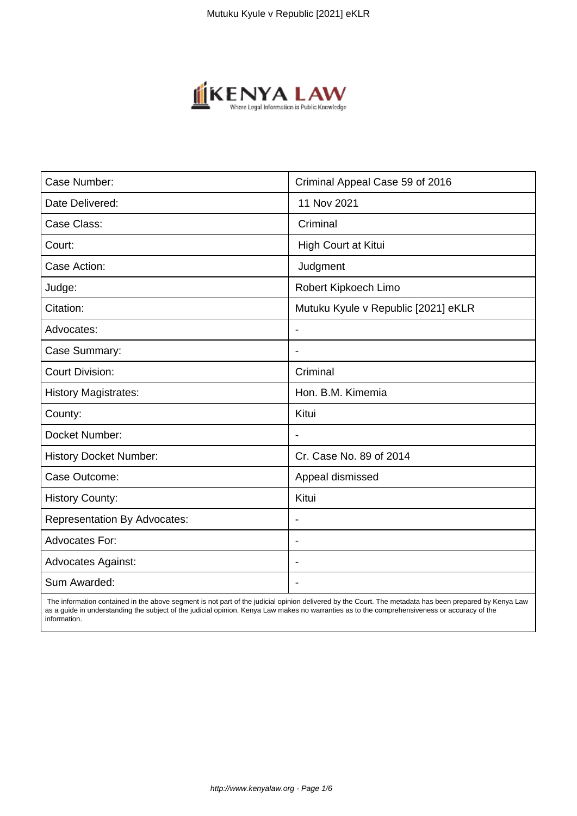

| Case Number:                        | Criminal Appeal Case 59 of 2016     |
|-------------------------------------|-------------------------------------|
| Date Delivered:                     | 11 Nov 2021                         |
| Case Class:                         | Criminal                            |
| Court:                              | High Court at Kitui                 |
| Case Action:                        | Judgment                            |
| Judge:                              | Robert Kipkoech Limo                |
| Citation:                           | Mutuku Kyule v Republic [2021] eKLR |
| Advocates:                          | $\overline{\phantom{a}}$            |
| Case Summary:                       | $\blacksquare$                      |
| <b>Court Division:</b>              | Criminal                            |
| <b>History Magistrates:</b>         | Hon. B.M. Kimemia                   |
| County:                             | Kitui                               |
| Docket Number:                      |                                     |
| <b>History Docket Number:</b>       | Cr. Case No. 89 of 2014             |
| Case Outcome:                       | Appeal dismissed                    |
| <b>History County:</b>              | Kitui                               |
| <b>Representation By Advocates:</b> | $\blacksquare$                      |
| <b>Advocates For:</b>               | $\overline{\phantom{a}}$            |
| Advocates Against:                  |                                     |
| Sum Awarded:                        |                                     |

 The information contained in the above segment is not part of the judicial opinion delivered by the Court. The metadata has been prepared by Kenya Law as a guide in understanding the subject of the judicial opinion. Kenya Law makes no warranties as to the comprehensiveness or accuracy of the information.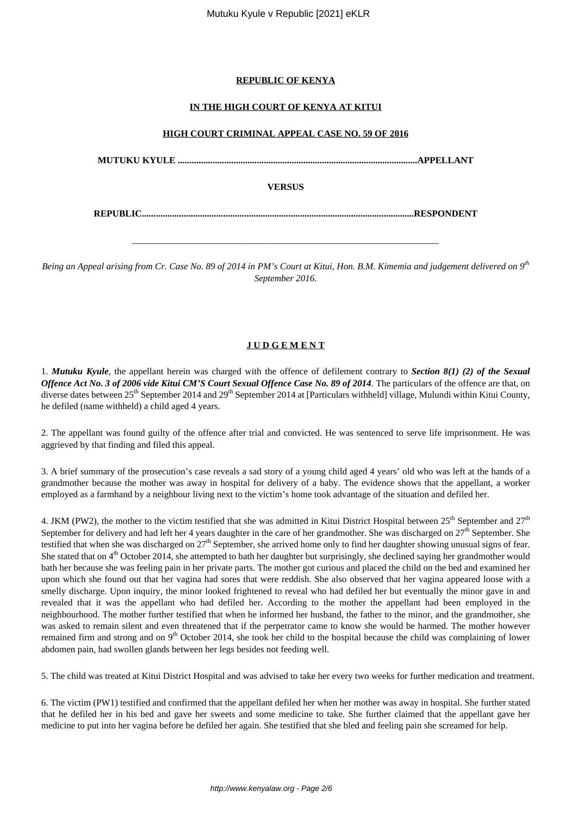## **REPUBLIC OF KENYA**

## **IN THE HIGH COURT OF KENYA AT KITUI**

### **HIGH COURT CRIMINAL APPEAL CASE NO. 59 OF 2016**

**MUTUKU KYULE .......................................................................................................APPELLANT**

**VERSUS**

**REPUBLIC.....................................................................................................................RESPONDENT**

\_\_\_\_\_\_\_\_\_\_\_\_\_\_\_\_\_\_\_\_\_\_\_\_\_\_\_\_\_\_\_\_\_\_\_\_\_\_\_\_\_\_\_\_\_\_\_\_\_\_\_\_\_\_\_\_\_\_\_\_\_\_\_\_\_\_

*Being an Appeal arising from Cr. Case No. 89 of 2014 in PM's Court at Kitui, Hon. B.M. Kimemia and judgement delivered on 9th September 2016.*

# **J U D G E M E N T**

1. *Mutuku Kyule*, the appellant herein was charged with the offence of defilement contrary to *Section 8(1) (2) of the Sexual Offence Act No. 3 of 2006 vide Kitui CM'S Court Sexual Offence Case No. 89 of 2014*. The particulars of the offence are that, on diverse dates between  $25<sup>th</sup>$  September 2014 and  $29<sup>th</sup>$  September 2014 at [Particulars withheld] village, Mulundi within Kitui County, he defiled (name withheld) a child aged 4 years.

2. The appellant was found guilty of the offence after trial and convicted. He was sentenced to serve life imprisonment. He was aggrieved by that finding and filed this appeal.

3. A brief summary of the prosecution's case reveals a sad story of a young child aged 4 years' old who was left at the hands of a grandmother because the mother was away in hospital for delivery of a baby. The evidence shows that the appellant, a worker employed as a farmhand by a neighbour living next to the victim's home took advantage of the situation and defiled her.

4. JKM (PW2), the mother to the victim testified that she was admitted in Kitui District Hospital between  $25<sup>th</sup>$  September and  $27<sup>th</sup>$ September for delivery and had left her 4 years daughter in the care of her grandmother. She was discharged on  $27<sup>th</sup>$  September. She testified that when she was discharged on  $27<sup>th</sup>$  September, she arrived home only to find her daughter showing unusual signs of fear. She stated that on 4<sup>th</sup> October 2014, she attempted to bath her daughter but surprisingly, she declined saying her grandmother would bath her because she was feeling pain in her private parts. The mother got curious and placed the child on the bed and examined her upon which she found out that her vagina had sores that were reddish. She also observed that her vagina appeared loose with a smelly discharge. Upon inquiry, the minor looked frightened to reveal who had defiled her but eventually the minor gave in and revealed that it was the appellant who had defiled her. According to the mother the appellant had been employed in the neighbourhood. The mother further testified that when he informed her husband, the father to the minor, and the grandmother, she was asked to remain silent and even threatened that if the perpetrator came to know she would be harmed. The mother however remained firm and strong and on 9<sup>th</sup> October 2014, she took her child to the hospital because the child was complaining of lower abdomen pain, had swollen glands between her legs besides not feeding well.

5. The child was treated at Kitui District Hospital and was advised to take her every two weeks for further medication and treatment.

6. The victim (PW1) testified and confirmed that the appellant defiled her when her mother was away in hospital. She further stated that he defiled her in his bed and gave her sweets and some medicine to take. She further claimed that the appellant gave her medicine to put into her vagina before he defiled her again. She testified that she bled and feeling pain she screamed for help.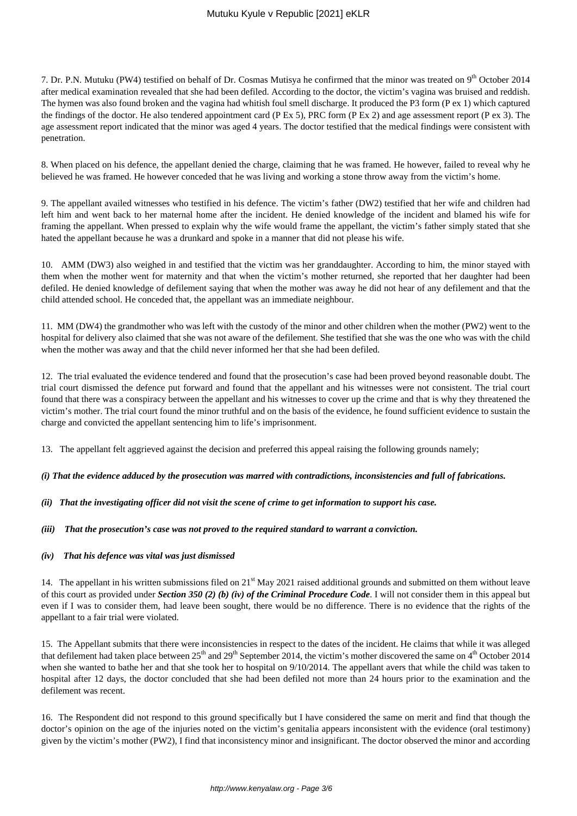7. Dr. P.N. Mutuku (PW4) testified on behalf of Dr. Cosmas Mutisya he confirmed that the minor was treated on 9<sup>th</sup> October 2014 after medical examination revealed that she had been defiled. According to the doctor, the victim's vagina was bruised and reddish. The hymen was also found broken and the vagina had whitish foul smell discharge. It produced the P3 form (P ex 1) which captured the findings of the doctor. He also tendered appointment card (P Ex 5), PRC form (P Ex 2) and age assessment report (P ex 3). The age assessment report indicated that the minor was aged 4 years. The doctor testified that the medical findings were consistent with penetration.

8. When placed on his defence, the appellant denied the charge, claiming that he was framed. He however, failed to reveal why he believed he was framed. He however conceded that he was living and working a stone throw away from the victim's home.

9. The appellant availed witnesses who testified in his defence. The victim's father (DW2) testified that her wife and children had left him and went back to her maternal home after the incident. He denied knowledge of the incident and blamed his wife for framing the appellant. When pressed to explain why the wife would frame the appellant, the victim's father simply stated that she hated the appellant because he was a drunkard and spoke in a manner that did not please his wife.

10. AMM (DW3) also weighed in and testified that the victim was her granddaughter. According to him, the minor stayed with them when the mother went for maternity and that when the victim's mother returned, she reported that her daughter had been defiled. He denied knowledge of defilement saying that when the mother was away he did not hear of any defilement and that the child attended school. He conceded that, the appellant was an immediate neighbour.

11. MM (DW4) the grandmother who was left with the custody of the minor and other children when the mother (PW2) went to the hospital for delivery also claimed that she was not aware of the defilement. She testified that she was the one who was with the child when the mother was away and that the child never informed her that she had been defiled.

12. The trial evaluated the evidence tendered and found that the prosecution's case had been proved beyond reasonable doubt. The trial court dismissed the defence put forward and found that the appellant and his witnesses were not consistent. The trial court found that there was a conspiracy between the appellant and his witnesses to cover up the crime and that is why they threatened the victim's mother. The trial court found the minor truthful and on the basis of the evidence, he found sufficient evidence to sustain the charge and convicted the appellant sentencing him to life's imprisonment.

13. The appellant felt aggrieved against the decision and preferred this appeal raising the following grounds namely;

#### *(i) That the evidence adduced by the prosecution was marred with contradictions, inconsistencies and full of fabrications.*

### *(ii) That the investigating officer did not visit the scene of crime to get information to support his case.*

#### *(iii) That the prosecution's case was not proved to the required standard to warrant a conviction.*

#### *(iv) That his defence was vital was just dismissed*

14. The appellant in his written submissions filed on  $21<sup>st</sup>$  May 2021 raised additional grounds and submitted on them without leave of this court as provided under *Section 350 (2) (b) (iv) of the Criminal Procedure Code*. I will not consider them in this appeal but even if I was to consider them, had leave been sought, there would be no difference. There is no evidence that the rights of the appellant to a fair trial were violated.

15. The Appellant submits that there were inconsistencies in respect to the dates of the incident. He claims that while it was alleged that defilement had taken place between  $25<sup>th</sup>$  and  $29<sup>th</sup>$  September 2014, the victim's mother discovered the same on  $4<sup>th</sup>$  October 2014 when she wanted to bathe her and that she took her to hospital on 9/10/2014. The appellant avers that while the child was taken to hospital after 12 days, the doctor concluded that she had been defiled not more than 24 hours prior to the examination and the defilement was recent.

16. The Respondent did not respond to this ground specifically but I have considered the same on merit and find that though the doctor's opinion on the age of the injuries noted on the victim's genitalia appears inconsistent with the evidence (oral testimony) given by the victim's mother (PW2), I find that inconsistency minor and insignificant. The doctor observed the minor and according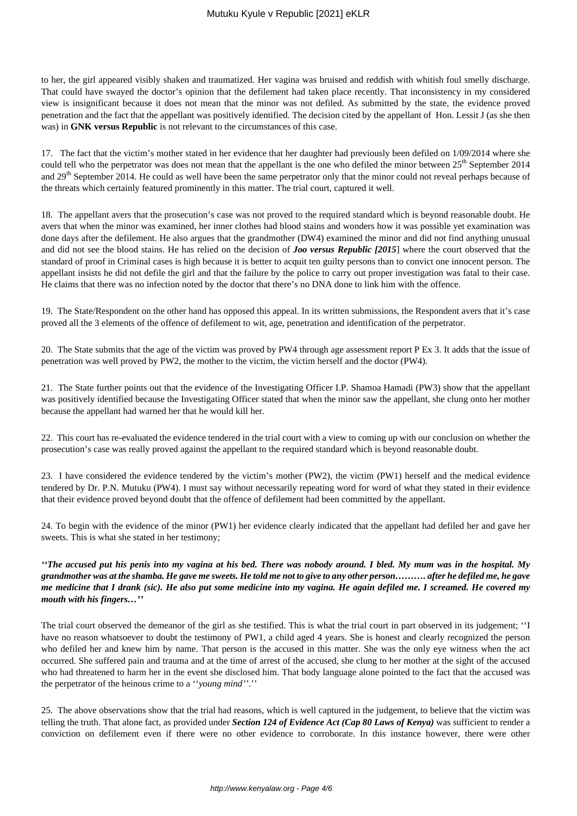to her, the girl appeared visibly shaken and traumatized. Her vagina was bruised and reddish with whitish foul smelly discharge. That could have swayed the doctor's opinion that the defilement had taken place recently. That inconsistency in my considered view is insignificant because it does not mean that the minor was not defiled. As submitted by the state, the evidence proved penetration and the fact that the appellant was positively identified. The decision cited by the appellant of Hon. Lessit J (as she then was) in **GNK versus Republic** is not relevant to the circumstances of this case.

17. The fact that the victim's mother stated in her evidence that her daughter had previously been defiled on 1/09/2014 where she could tell who the perpetrator was does not mean that the appellant is the one who defiled the minor between  $25<sup>th</sup>$  September 2014 and  $29<sup>th</sup>$  September 2014. He could as well have been the same perpetrator only that the minor could not reveal perhaps because of the threats which certainly featured prominently in this matter. The trial court, captured it well.

18. The appellant avers that the prosecution's case was not proved to the required standard which is beyond reasonable doubt. He avers that when the minor was examined, her inner clothes had blood stains and wonders how it was possible yet examination was done days after the defilement. He also argues that the grandmother (DW4) examined the minor and did not find anything unusual and did not see the blood stains. He has relied on the decision of *Joo versus Republic [2015*] where the court observed that the standard of proof in Criminal cases is high because it is better to acquit ten guilty persons than to convict one innocent person. The appellant insists he did not defile the girl and that the failure by the police to carry out proper investigation was fatal to their case. He claims that there was no infection noted by the doctor that there's no DNA done to link him with the offence.

19. The State/Respondent on the other hand has opposed this appeal. In its written submissions, the Respondent avers that it's case proved all the 3 elements of the offence of defilement to wit, age, penetration and identification of the perpetrator.

20. The State submits that the age of the victim was proved by PW4 through age assessment report P Ex 3. It adds that the issue of penetration was well proved by PW2, the mother to the victim, the victim herself and the doctor (PW4).

21. The State further points out that the evidence of the Investigating Officer I.P. Shamoa Hamadi (PW3) show that the appellant was positively identified because the Investigating Officer stated that when the minor saw the appellant, she clung onto her mother because the appellant had warned her that he would kill her.

22. This court has re-evaluated the evidence tendered in the trial court with a view to coming up with our conclusion on whether the prosecution's case was really proved against the appellant to the required standard which is beyond reasonable doubt.

23. I have considered the evidence tendered by the victim's mother (PW2), the victim (PW1) herself and the medical evidence tendered by Dr. P.N. Mutuku (PW4). I must say without necessarily repeating word for word of what they stated in their evidence that their evidence proved beyond doubt that the offence of defilement had been committed by the appellant.

24. To begin with the evidence of the minor (PW1) her evidence clearly indicated that the appellant had defiled her and gave her sweets. This is what she stated in her testimony;

*''The accused put his penis into my vagina at his bed. There was nobody around. I bled. My mum was in the hospital. My grandmother was at the shamba. He gave me sweets. He told me not to give to any other person………. after he defiled me, he gave me medicine that I drank (sic). He also put some medicine into my vagina. He again defiled me. I screamed. He covered my mouth with his fingers…''*

The trial court observed the demeanor of the girl as she testified. This is what the trial court in part observed in its judgement; ''I have no reason whatsoever to doubt the testimony of PW1, a child aged 4 years. She is honest and clearly recognized the person who defiled her and knew him by name. That person is the accused in this matter. She was the only eye witness when the act occurred. She suffered pain and trauma and at the time of arrest of the accused, she clung to her mother at the sight of the accused who had threatened to harm her in the event she disclosed him. That body language alone pointed to the fact that the accused was the perpetrator of the heinous crime to a ''*young mind''*.''

25. The above observations show that the trial had reasons, which is well captured in the judgement, to believe that the victim was telling the truth. That alone fact, as provided under *Section 124 of Evidence Act (Cap 80 Laws of Kenya)* was sufficient to render a conviction on defilement even if there were no other evidence to corroborate. In this instance however, there were other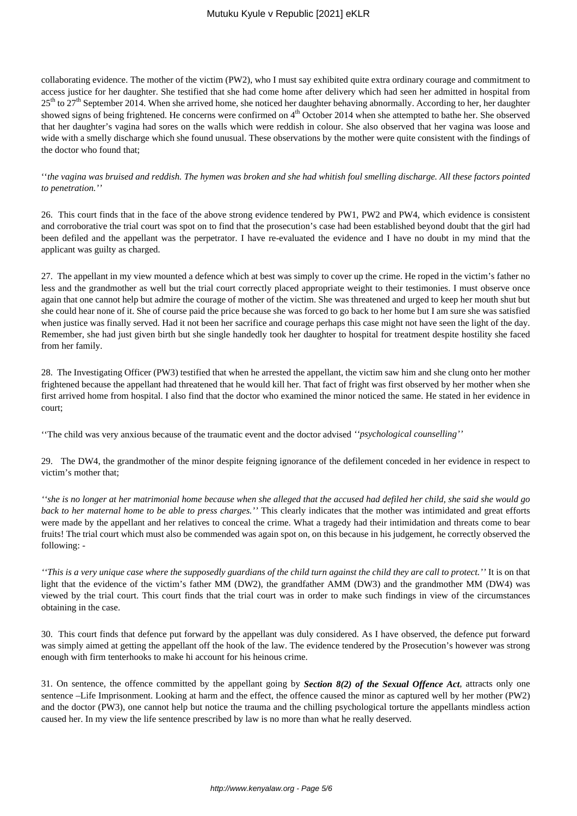### Mutuku Kyule v Republic [2021] eKLR

collaborating evidence. The mother of the victim (PW2), who I must say exhibited quite extra ordinary courage and commitment to access justice for her daughter. She testified that she had come home after delivery which had seen her admitted in hospital from  $25<sup>th</sup>$  to  $27<sup>th</sup>$  September 2014. When she arrived home, she noticed her daughter behaving abnormally. According to her, her daughter showed signs of being frightened. He concerns were confirmed on  $4<sup>th</sup>$  October 2014 when she attempted to bathe her. She observed that her daughter's vagina had sores on the walls which were reddish in colour. She also observed that her vagina was loose and wide with a smelly discharge which she found unusual. These observations by the mother were quite consistent with the findings of the doctor who found that;

''*the vagina was bruised and reddish. The hymen was broken and she had whitish foul smelling discharge. All these factors pointed to penetration.''* 

26. This court finds that in the face of the above strong evidence tendered by PW1, PW2 and PW4, which evidence is consistent and corroborative the trial court was spot on to find that the prosecution's case had been established beyond doubt that the girl had been defiled and the appellant was the perpetrator. I have re-evaluated the evidence and I have no doubt in my mind that the applicant was guilty as charged.

27. The appellant in my view mounted a defence which at best was simply to cover up the crime. He roped in the victim's father no less and the grandmother as well but the trial court correctly placed appropriate weight to their testimonies. I must observe once again that one cannot help but admire the courage of mother of the victim. She was threatened and urged to keep her mouth shut but she could hear none of it. She of course paid the price because she was forced to go back to her home but I am sure she was satisfied when justice was finally served. Had it not been her sacrifice and courage perhaps this case might not have seen the light of the day. Remember, she had just given birth but she single handedly took her daughter to hospital for treatment despite hostility she faced from her family.

28. The Investigating Officer (PW3) testified that when he arrested the appellant, the victim saw him and she clung onto her mother frightened because the appellant had threatened that he would kill her. That fact of fright was first observed by her mother when she first arrived home from hospital. I also find that the doctor who examined the minor noticed the same. He stated in her evidence in court;

''The child was very anxious because of the traumatic event and the doctor advised *''psychological counselling''*

29. The DW4, the grandmother of the minor despite feigning ignorance of the defilement conceded in her evidence in respect to victim's mother that;

*''she is no longer at her matrimonial home because when she alleged that the accused had defiled her child, she said she would go back to her maternal home to be able to press charges.''* This clearly indicates that the mother was intimidated and great efforts were made by the appellant and her relatives to conceal the crime. What a tragedy had their intimidation and threats come to bear fruits! The trial court which must also be commended was again spot on, on this because in his judgement, he correctly observed the following: -

*''This is a very unique case where the supposedly guardians of the child turn against the child they are call to protect.''* It is on that light that the evidence of the victim's father MM (DW2), the grandfather AMM (DW3) and the grandmother MM (DW4) was viewed by the trial court. This court finds that the trial court was in order to make such findings in view of the circumstances obtaining in the case.

30. This court finds that defence put forward by the appellant was duly considered. As I have observed, the defence put forward was simply aimed at getting the appellant off the hook of the law. The evidence tendered by the Prosecution's however was strong enough with firm tenterhooks to make hi account for his heinous crime.

31. On sentence, the offence committed by the appellant going by *Section 8(2) of the Sexual Offence Act*, attracts only one sentence –Life Imprisonment. Looking at harm and the effect, the offence caused the minor as captured well by her mother (PW2) and the doctor (PW3), one cannot help but notice the trauma and the chilling psychological torture the appellants mindless action caused her. In my view the life sentence prescribed by law is no more than what he really deserved.